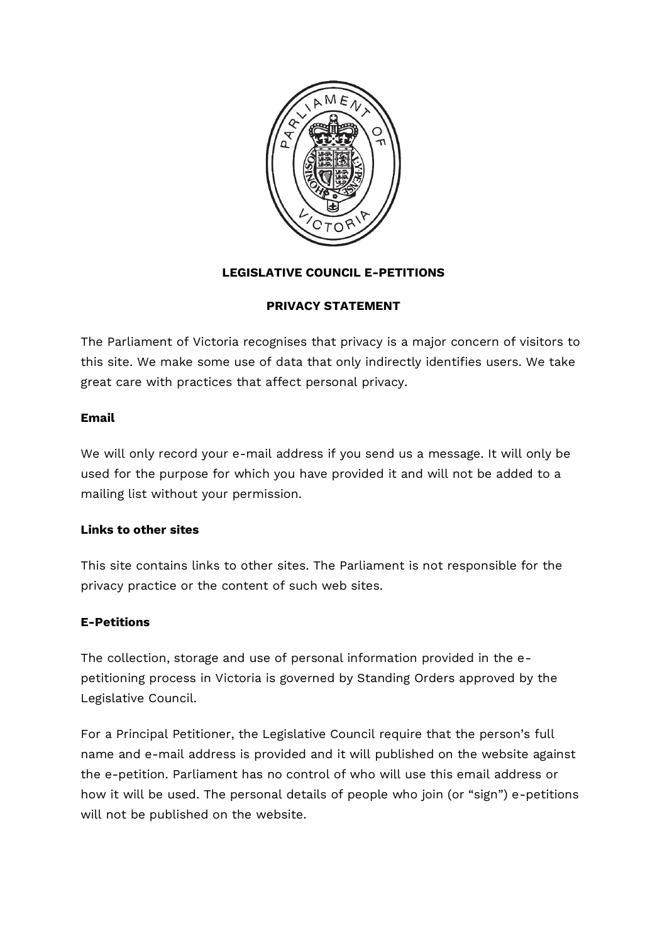

# **LEGISLATIVE COUNCIL E-PETITIONS**

## **PRIVACY STATEMENT**

The Parliament of Victoria recognises that privacy is a major concern of visitors to this site. We make some use of data that only indirectly identifies users. We take great care with practices that affect personal privacy.

### **Email**

We will only record your e-mail address if you send us a message. It will only be used for the purpose for which you have provided it and will not be added to a mailing list without your permission.

## **Links to other sites**

This site contains links to other sites. The Parliament is not responsible for the privacy practice or the content of such web sites.

## **E-Petitions**

The collection, storage and use of personal information provided in the epetitioning process in Victoria is governed by Standing Orders approved by the Legislative Council.

For a Principal Petitioner, the Legislative Council require that the person's full name and e-mail address is provided and it will published on the website against the e-petition. Parliament has no control of who will use this email address or how it will be used. The personal details of people who join (or "sign") e-petitions will not be published on the website.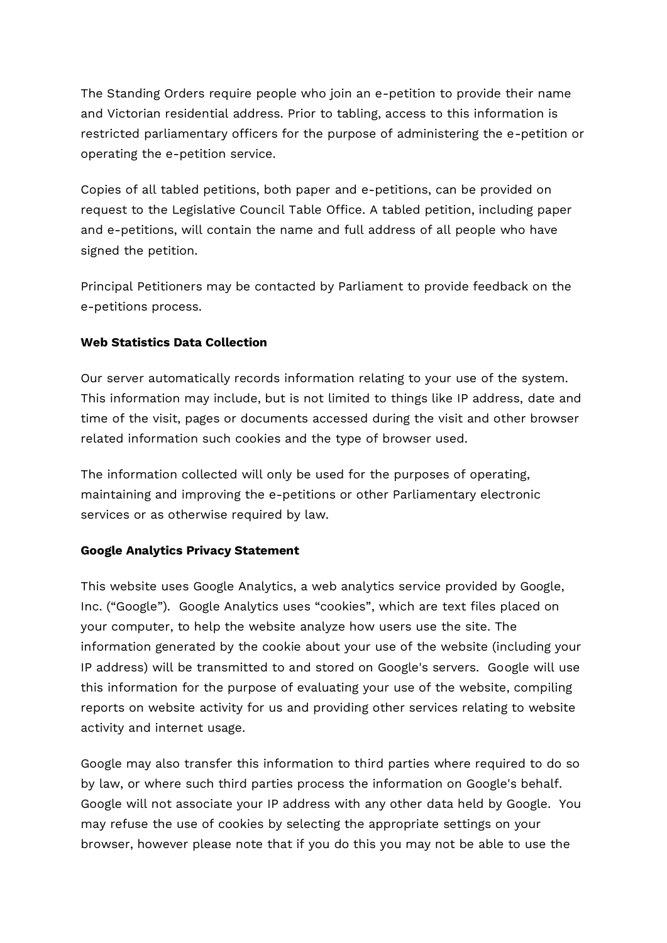The Standing Orders require people who join an e-petition to provide their name and Victorian residential address. Prior to tabling, access to this information is restricted parliamentary officers for the purpose of administering the e-petition or operating the e-petition service.

Copies of all tabled petitions, both paper and e-petitions, can be provided on request to the Legislative Council Table Office. A tabled petition, including paper and e-petitions, will contain the name and full address of all people who have signed the petition.

Principal Petitioners may be contacted by Parliament to provide feedback on the e-petitions process.

## **Web Statistics Data Collection**

Our server automatically records information relating to your use of the system. This information may include, but is not limited to things like IP address, date and time of the visit, pages or documents accessed during the visit and other browser related information such cookies and the type of browser used.

The information collected will only be used for the purposes of operating, maintaining and improving the e-petitions or other Parliamentary electronic services or as otherwise required by law.

## **Google Analytics Privacy Statement**

This website uses Google Analytics, a web analytics service provided by Google, Inc. ("Google"). Google Analytics uses "cookies", which are text files placed on your computer, to help the website analyze how users use the site. The information generated by the cookie about your use of the website (including your IP address) will be transmitted to and stored on Google's servers. Google will use this information for the purpose of evaluating your use of the website, compiling reports on website activity for us and providing other services relating to website activity and internet usage.

Google may also transfer this information to third parties where required to do so by law, or where such third parties process the information on Google's behalf. Google will not associate your IP address with any other data held by Google. You may refuse the use of cookies by selecting the appropriate settings on your browser, however please note that if you do this you may not be able to use the